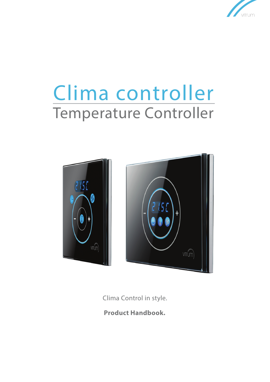

# Clima controller Temperature Controller



Clima Control in style.

**Product Handbook.**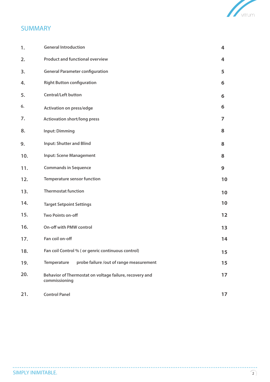

# **SUMMARY**

| 1.  | <b>General Introduction</b>                                              | 4            |
|-----|--------------------------------------------------------------------------|--------------|
| 2.  | <b>Product and functional overview</b>                                   | 4            |
| 3.  | <b>General Parameter configuration</b>                                   | 5            |
| 4.  | <b>Right Button configuration</b>                                        | 6            |
| 5.  | <b>Central/Left button</b>                                               | 6            |
| 6.  | <b>Activation on press/edge</b>                                          | 6            |
| 7.  | <b>Actiovation short/long press</b>                                      | 7            |
| 8.  | <b>Input: Dimming</b>                                                    | 8            |
| 9.  | <b>Input: Shutter and Blind</b>                                          | 8            |
| 10. | <b>Input: Scene Management</b>                                           | 8            |
| 11. | <b>Commands in Sequence</b>                                              | $\mathbf{9}$ |
| 12. | <b>Temperature sensor function</b>                                       | 10           |
| 13. | <b>Thermostat function</b>                                               | 10           |
| 14. | <b>Target Setpoint Settings</b>                                          | 10           |
| 15. | Two Points on-off                                                        | 12           |
| 16. | On-off with PMW control                                                  | 13           |
| 17. | Fan coil on-off                                                          | 14           |
| 18. | Fan coil Control % ( or genric continuous control)                       | 15           |
| 19. | probe failure /out of range measurement<br>Temperature                   | 15           |
| 20. | Behavior of Thermostat on voltage failure, recovery and<br>commissioning | 17           |
| 21. | <b>Control Panel</b>                                                     | 17           |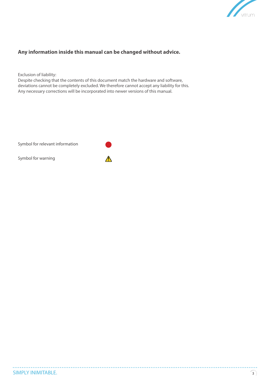

# **Any information inside this manual can be changed without advice.**

Exclusion of liability:

Despite checking that the contents of this document match the hardware and software, deviations cannot be completely excluded. We therefore cannot accept any liability for this. Any necessary corrections will be incorporated into newer versions of this manual.

 $\bigwedge$ 

Symbol for relevant information

Symbol for warning



. . . . . . . . . . . .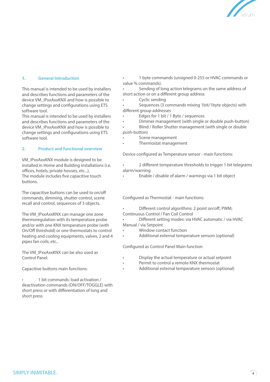

#### **1. General Introduction**

This manual is intended to be used by installers and describes functions and parameters of the device VM\_IPxxAxxKNX and how is possible to change settings and configurations using ETS software tool.

This manual is intended to be used by installers and describes functions and parameters of the device VM\_IPxxAxxKNX and how is possible to change settings and configurations using ETS software tool.

#### **2. Product and functional overview**

VM\_IPxxAxxKNX module is designed to be installed in Home and Building installations (i.e. offices, hotels, private houses, etc...). The module includes five capacitive touch buttons.

The capacitive buttons can be used to on/off commands, dimming, shutter control, scene recall and control, sequences of 3 objects.

The VM\_IPxxAxxKNX can manage one zone thermoregulation with its temperature probe and/or with one KNX temperature probe (with On/Off threshold) or one thermostats to control heating and cooling equipments, valves, 2 and 4 pipes fan coils; etc..

The VM\_IPxxAxxKNX can be also used as Control Panel.

Capacitive buttons main functions:

• 1 bit commands: load activation / deactivation commands (ON/OFF/TOGGLE) with short press or with differentiation of long and short press

• 1 byte commands (unsigned 0-255 or HVAC commands or value % commands).

Sending of long action telegrams on the same address of short action or on a different group address

Cyclic sending

• Sequences (3 commands mixing 1bit/1byte objects) with different group addresses

- Edges for 1 bit / 1 Byte / sequences
- Dimmer management (with single or double push-button)

• Blind / Roller Shutter management (with single or double push-button)

- Scene management
- Thermostat management

Device configured as Temperature sensor - main functions:

• 2 different temperature thresholds to trigger 1 bit telegrams alarm/warning

• Enable / disable of alarm / warnings via 1 bit object

Configured as Thermostat - main functions:

• Different control algorithms: 2 point on/off; PWM; Continuous Control / Fan Coil Control

• Different setting modes: via HVAC automatic / via HVAC Manual / via Setpoint

- Window contact function
- Additional external temperature sensors (optional)

Configured as Control Panel Main function

- Display the actual temperature or actual setpoint
- Permit to control a remote KNX thermostat
- Additional external temperature sensors (optional)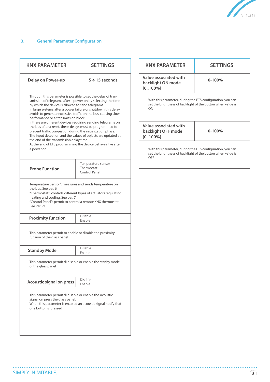

# **3. General Parameter Configuration**

| $5 \div 15$ seconds<br>Through this parameter is possible to set the delay of tran-<br>smission of telegrams after a power on by selecting the time<br>by which the device is allowed to send telegrams.<br>In large systems after a power failure or shutdown this delay<br>avoids to generate excessive traffic on the bus, causing slow<br>performance or a transmission block.<br>If there are different devices requiring sending telegrams on<br>the bus after a reset, these delays must be programmed to<br>prevent traffic congestion during the initialization phase.<br>The input detection and the values of objects are updated at<br>the end of the transmission delay time<br>At the end of ETS programming the device behaves like after<br>Temperature sensor<br>Thermostat<br>Control Panel<br>Temperature Sensor": measures and sends temperature on<br>"Thermostat": controls different types of actuators regulating | Value associated with<br>backlight ON mode<br>$[0.100\%]$<br>With this parameter, during the ETS configuration, you can<br>set the brightness of backlight of the button when value is<br>ON<br>Value associated with<br>backlight OFF mode<br>$[0.100\%]$<br>With this parameter, during the ETS configuration, you can<br>set the brightness of backlight of the button when value is<br>OFF | $0 - 100%$<br>$0 - 100%$ |
|-------------------------------------------------------------------------------------------------------------------------------------------------------------------------------------------------------------------------------------------------------------------------------------------------------------------------------------------------------------------------------------------------------------------------------------------------------------------------------------------------------------------------------------------------------------------------------------------------------------------------------------------------------------------------------------------------------------------------------------------------------------------------------------------------------------------------------------------------------------------------------------------------------------------------------------------|------------------------------------------------------------------------------------------------------------------------------------------------------------------------------------------------------------------------------------------------------------------------------------------------------------------------------------------------------------------------------------------------|--------------------------|
|                                                                                                                                                                                                                                                                                                                                                                                                                                                                                                                                                                                                                                                                                                                                                                                                                                                                                                                                           |                                                                                                                                                                                                                                                                                                                                                                                                |                          |
|                                                                                                                                                                                                                                                                                                                                                                                                                                                                                                                                                                                                                                                                                                                                                                                                                                                                                                                                           |                                                                                                                                                                                                                                                                                                                                                                                                |                          |
|                                                                                                                                                                                                                                                                                                                                                                                                                                                                                                                                                                                                                                                                                                                                                                                                                                                                                                                                           |                                                                                                                                                                                                                                                                                                                                                                                                |                          |
|                                                                                                                                                                                                                                                                                                                                                                                                                                                                                                                                                                                                                                                                                                                                                                                                                                                                                                                                           |                                                                                                                                                                                                                                                                                                                                                                                                |                          |
|                                                                                                                                                                                                                                                                                                                                                                                                                                                                                                                                                                                                                                                                                                                                                                                                                                                                                                                                           |                                                                                                                                                                                                                                                                                                                                                                                                |                          |
| "Control Panel": permit to control a remote KNX thermostat.                                                                                                                                                                                                                                                                                                                                                                                                                                                                                                                                                                                                                                                                                                                                                                                                                                                                               |                                                                                                                                                                                                                                                                                                                                                                                                |                          |
| <b>Disable</b><br>Enable                                                                                                                                                                                                                                                                                                                                                                                                                                                                                                                                                                                                                                                                                                                                                                                                                                                                                                                  |                                                                                                                                                                                                                                                                                                                                                                                                |                          |
| This parameter permit to enable or disable the proximity                                                                                                                                                                                                                                                                                                                                                                                                                                                                                                                                                                                                                                                                                                                                                                                                                                                                                  |                                                                                                                                                                                                                                                                                                                                                                                                |                          |
| <b>Disable</b><br>Enable                                                                                                                                                                                                                                                                                                                                                                                                                                                                                                                                                                                                                                                                                                                                                                                                                                                                                                                  |                                                                                                                                                                                                                                                                                                                                                                                                |                          |
| This parameter permit di disable or enable the stanby mode                                                                                                                                                                                                                                                                                                                                                                                                                                                                                                                                                                                                                                                                                                                                                                                                                                                                                |                                                                                                                                                                                                                                                                                                                                                                                                |                          |
| Disable<br>Enable                                                                                                                                                                                                                                                                                                                                                                                                                                                                                                                                                                                                                                                                                                                                                                                                                                                                                                                         |                                                                                                                                                                                                                                                                                                                                                                                                |                          |
| This parameter permit di disable or enable the Acoustic                                                                                                                                                                                                                                                                                                                                                                                                                                                                                                                                                                                                                                                                                                                                                                                                                                                                                   |                                                                                                                                                                                                                                                                                                                                                                                                |                          |
|                                                                                                                                                                                                                                                                                                                                                                                                                                                                                                                                                                                                                                                                                                                                                                                                                                                                                                                                           | When this parameter is enabled an acoustic signal notify that                                                                                                                                                                                                                                                                                                                                  |                          |

 $\sim$ 

. . . . . . . . . . . . .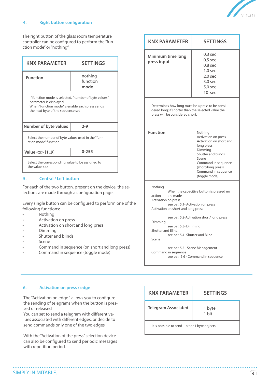

#### **4. Right button configuration**

The right button of the glass room temperature controller can be configured to perform the "function mode" or "nothing"

| <b>KNX PARAMETER</b>                                                                                                                                                     | <b>SETTINGS</b>             |  |  |
|--------------------------------------------------------------------------------------------------------------------------------------------------------------------------|-----------------------------|--|--|
| <b>Function</b>                                                                                                                                                          | nothing<br>function<br>mode |  |  |
| If function mode is selected, "number of byte values"<br>parameter is displayed.<br>When "function mode" is enable each press sends<br>the next byte of the sequence set |                             |  |  |
| Number of byte values                                                                                                                                                    | $2 - 9$                     |  |  |
| Select the number of byte values used in the "fun-<br>ction mode" function.                                                                                              |                             |  |  |
| Value $<$ x $>$ [19]                                                                                                                                                     | $0 - 255$                   |  |  |
| Select the corresponding value to be assigned to<br>the value $\langle x \rangle$                                                                                        |                             |  |  |

#### **5. Central / Left button**

For each of the two button, present on the device, the selections are made through a configuration page.

Every single button can be configured to perform one of the following functions:

- Nothing
- Activation on press
- Activation on short and long press
- Dimming
- Shutter and blinds
- Scene
- Command in sequence (on short and long press)
- Command in sequence (toggle mode)

| <b>KNX PARAMETER</b>                                                                                                                                                                                                                                                                                                                                                                                                                | <b>SETTINGS</b>                                                                                                                                                                                        |  |  |
|-------------------------------------------------------------------------------------------------------------------------------------------------------------------------------------------------------------------------------------------------------------------------------------------------------------------------------------------------------------------------------------------------------------------------------------|--------------------------------------------------------------------------------------------------------------------------------------------------------------------------------------------------------|--|--|
| Minimum time long<br>press input                                                                                                                                                                                                                                                                                                                                                                                                    | 0.3 <sub>sec</sub><br>$0,5$ sec<br>0.8 <sub>sec</sub><br>$1,0$ sec<br>2.0 <sub>sec</sub><br>$3,0$ sec<br>5.0 <sub>sec</sub><br>10 sec                                                                  |  |  |
| Determines how long must be a press to be consi-<br>dered long; if shorter than the selected value the<br>press will be considered short.                                                                                                                                                                                                                                                                                           |                                                                                                                                                                                                        |  |  |
| <b>Function</b>                                                                                                                                                                                                                                                                                                                                                                                                                     | Nothing<br>Activation on press<br>Activation on short and<br>long press<br>Dimming<br>Shutter and blinds<br>Scene<br>Command in sequence<br>(short/long press)<br>Command in sequence<br>(toggle mode) |  |  |
| Nothing<br>When the capacitive button is pressed no<br>action<br>are made<br>Activation on press<br>see par. 5.1- Activation on press<br>Activation on short and long press<br>see par. 5.2-Activation short/long press<br>Dimming<br>see par. 5.3- Dimming<br><b>Shutter and Blind</b><br>see par. 5.4- Shutter and Blind<br>Scene<br>see par. 5.5 - Scene Management<br>Command in sequence<br>see par. 5.6 - Command in sequence |                                                                                                                                                                                                        |  |  |

#### **6. Activation on press / edge**

The "Activation on edge " allows you to configure the sending of telegrams when the button is pressed or released

You can set to send a telegram with different values associated with different edges, or decide to send commands only one of the two edges

With the "Activation of the press" selection device can also be configured to send periodic messages with repetition period.

| <b>KNX PARAMETER</b>                           | <b>SETTINGS</b> |
|------------------------------------------------|-----------------|
| <b>Telegram Associated</b>                     | 1 byte<br>1 bit |
| It is possible to send 1 bit or 1 byte objects |                 |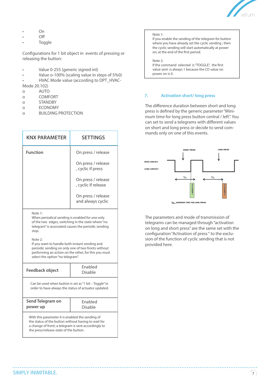

- On
- Off
- Toggle

Configurations for 1 bit object in events of pressing or releasing the button:

- Value 0-255 (generic signed int)
- Value o-100% (scaling value in steps of 5%0)
- HVAC Mode value (according to DPT\_HVAC-Mode 20.102)
- o AUTO
- o COMFORT
- o STANDBY
- o ECONOMY
- o BUILDING PROTECTION

| <b>KNX PARAMETER</b>                                       | <b>SETTINGS</b>                           |
|------------------------------------------------------------|-------------------------------------------|
| <b>Function</b>                                            | On press / release                        |
|                                                            | On press / release<br>, cyclic if press   |
|                                                            | On press / release<br>, cyclic if release |
|                                                            | On press / release<br>and always cyclic   |
| Note 1:<br>When periodical sending is enabled for one only |                                           |

When periodical sending is enabled for one only of the two edges, switching in the state where "no telegram" is associated causes the periodic sending stop.

Note 2:

If you want to handle both instant sending and periodic sending on only one of two fronts without performing an action on the other, for this you must select the option "no telegram".

| Feedback object                                                                                               | <b>Fnabled</b><br>Disable |  |  |
|---------------------------------------------------------------------------------------------------------------|---------------------------|--|--|
| Can be used when button is set as "1 bit - Toggle" in<br>order to have always the status of actuator updated. |                           |  |  |
| Send Telegram on<br>power up                                                                                  | <b>Fnabled</b><br>Disable |  |  |
|                                                                                                               |                           |  |  |

#### Note 1:

If you enable the sending of the telegram for button where you have already set the cyclic sending ; then the cyclic sending will start automatically at power on; at the end of the first period.

Note 2: If the command selected is "TOGGLE", the first value sent is always 1 because the CO value on power on is 0.

#### **7. Activation short/ long press**

The difference duration between short and long press is defined by the generic parameter "Minimum time for long press button central / left". You can set to send a telegrams with different values on short and long press or decide to send commands only on one of this events.



The parameters and mode of transmission of telegrams can be managed through "activation on long and short press" are the same set with the configuration "Activation of press" to the exclusion of the function of cyclic sending that is not provided here.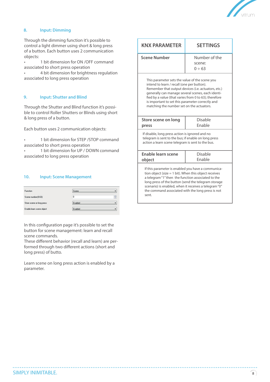

### **8. Input: Dimming**

Through the dimming function it's possible to control a light dimmer using short & long press of a button. Each button uses 2 communication objects:

• 1 bit dimension for ON /OFF command associated to short press operation

• 4 bit dimension for brightness regulation associated to long press operation

#### **9. Input: Shutter and Blind**

Through the Shutter and Blind function it's possible to control Roller Shutters or Blinds using short & long press of a button.

Each button uses 2 communication objects:

• 1 bit dimension for STEP /STOP command associated to short press operation

• 1 bit dimension for UP / DOWN command associated to long press operation

#### **10. Input: Scene Management**

| Function                  | Scene   |   |
|---------------------------|---------|---|
| Scene number (0-63)       | 0       | ÷ |
| Store scene on long press | Enabled |   |
| Enable learn scene object | Enabled |   |

In this configuration page it's possible to set the button for scene management: learn and recall scene commands.

These different behavior (recall and learn) are performed through two different actions (short and long press) of butto.

Learn scene on long press action is enabled by a parameter.

| <b>KNX PARAMETER</b>                                                                                                                                                                                                                                                                                                                                               | <b>SETTINGS</b>                        |  |  |
|--------------------------------------------------------------------------------------------------------------------------------------------------------------------------------------------------------------------------------------------------------------------------------------------------------------------------------------------------------------------|----------------------------------------|--|--|
| <b>Scene Number</b>                                                                                                                                                                                                                                                                                                                                                | Number of the<br>scene:<br>$0 \div 63$ |  |  |
| This parameter sets the value of the scene you<br>intend to learn / recall (one per button).<br>Remember that output devices (i.e. actuators, etc.)<br>generally can manage several scenes, each identi-<br>fied by a value (that varies from 0 to 63); therefore<br>is important to set this parameter correctly and<br>matching the number set on the actuators. |                                        |  |  |
| Disable<br>Store scene on long<br>Fnable<br>press                                                                                                                                                                                                                                                                                                                  |                                        |  |  |
| If disable, long press action is ignored and no<br>telegram is sent to the bus; if enable on long press<br>action a learn scene telegram is sent to the bus.                                                                                                                                                                                                       |                                        |  |  |
| <b>Enable learn scene</b><br>object                                                                                                                                                                                                                                                                                                                                | Disable<br>Fnable                      |  |  |
| If this parameter is enabled you have a communica-<br>tion object (size $= 1$ bit). When this object receives<br>a telegram "1" then the function associated to the<br>long press of the button (send the telegram storage<br>scenario) is enabled, when it receives a telegram "0"<br>the command associated with the long press is not<br>sent.                  |                                        |  |  |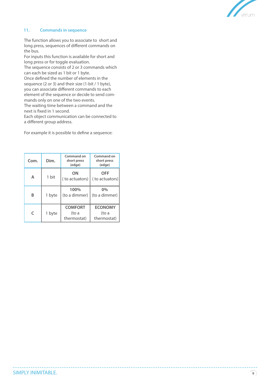

#### **11. Commands in sequence**

The function allows you to associate to short and long press, sequences of different commands on the bus.

For inputs this function is available for short and long press or for toggle evaluation.

The sequence consists of 2 or 3 commands which can each be sized as 1 bit or 1 byte.

Once defined the number of elements in the sequence (2 or 3) and their size (1-bit / 1 byte), you can associate different commands to each element of the sequence or decide to send commands only on one of the two events.

The waiting time between a command and the next is fixed in 1 second.

Each object communication can be connected to a different group address.

For example it is possible to define a sequence:

| Com.       | Dim.   | Command on<br>short press<br>(edge)    | Command on<br>short press<br>(edge)    |
|------------|--------|----------------------------------------|----------------------------------------|
| А          | 1 bit  | ΟN<br>(to actuators)                   | <b>OFF</b><br>(to actuators)           |
| B          | 1 byte | 100%<br>(to a dimmer)                  | 0%<br>(to a dimmer)                    |
| $\epsilon$ | 1 byte | <b>COMFORT</b><br>(to a<br>thermostat) | <b>ECONOMY</b><br>(to a<br>thermostat) |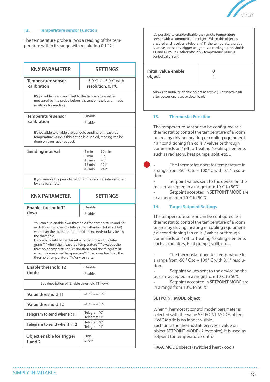

#### **12. Temperature sensor Function**

The temperature probe allows a reading of the temperature within its range with resolution 0.1 ° C.

| <b>KNX PARAMETER</b>                                                                                                                                                                                                                                                                                                                                                                                                                                                                                 | <b>SETTINGS</b>                                                                                                    |  |
|------------------------------------------------------------------------------------------------------------------------------------------------------------------------------------------------------------------------------------------------------------------------------------------------------------------------------------------------------------------------------------------------------------------------------------------------------------------------------------------------------|--------------------------------------------------------------------------------------------------------------------|--|
| $-5,0^{\circ}C \div +5,0^{\circ}C$ with<br><b>Temperature sensor</b><br>calibration<br>resolution, 0,1°C                                                                                                                                                                                                                                                                                                                                                                                             |                                                                                                                    |  |
| It's 'possible to add an offset to the temperature value<br>measured by the probe before it is sent on the bus or made<br>available for reading.                                                                                                                                                                                                                                                                                                                                                     |                                                                                                                    |  |
| <b>Temperature sensor</b><br>calibration                                                                                                                                                                                                                                                                                                                                                                                                                                                             | Disable<br>Enable                                                                                                  |  |
| It's 'possible to enable the periodic sending of measured<br>temperature value, if this option is disabled, reading can be<br>done only on read-request.                                                                                                                                                                                                                                                                                                                                             |                                                                                                                    |  |
| <b>Sending interval</b>                                                                                                                                                                                                                                                                                                                                                                                                                                                                              | 1 min<br>30 min<br>5 min<br>1 <sub>h</sub><br>$10 \text{ min}$<br>4 h<br>$15 \text{ min}$<br>12h<br>45 min<br>24 h |  |
| If you enable the periodic sending the sending interval is set<br>by this parameter.                                                                                                                                                                                                                                                                                                                                                                                                                 |                                                                                                                    |  |
| <b>KNX PARAMETER</b>                                                                                                                                                                                                                                                                                                                                                                                                                                                                                 | <b>SETTINGS</b>                                                                                                    |  |
| <b>Enable threshold T1</b>                                                                                                                                                                                                                                                                                                                                                                                                                                                                           | Disable                                                                                                            |  |
| (low)                                                                                                                                                                                                                                                                                                                                                                                                                                                                                                | Enable                                                                                                             |  |
| You can also enable two thresholds for temperature and, for<br>each thresholds, send a telegram of attention (of size 1 bit)<br>whenever the measured temperature exceeds or falls below<br>the threshold.<br>For each threshold can be set whether to send the tele-<br>gram "1" when the measured temperature "T" exceeds the<br>threshold temperature "Tx" and then send the telegram "0"<br>when the measured temperature "T" becomes less than the<br>threshold temperature "Tx "or vice versa. |                                                                                                                    |  |
| Enable threshold T2                                                                                                                                                                                                                                                                                                                                                                                                                                                                                  | Disable                                                                                                            |  |
| (high)                                                                                                                                                                                                                                                                                                                                                                                                                                                                                               | Enable                                                                                                             |  |
| See description of "Enable threshold T1 (low)".                                                                                                                                                                                                                                                                                                                                                                                                                                                      |                                                                                                                    |  |
| Value threshold T1                                                                                                                                                                                                                                                                                                                                                                                                                                                                                   | $-15^{\circ}$ C $\div$ +55 $^{\circ}$ C                                                                            |  |
| Value threshold T2                                                                                                                                                                                                                                                                                                                                                                                                                                                                                   | $-15^{\circ}$ C $\div$ +55 $^{\circ}$ C                                                                            |  |
| Telegram to send whenT <t1< th=""><th>Telegram "0"<br/>Telegram "1"</th></t1<>                                                                                                                                                                                                                                                                                                                                                                                                                       | Telegram "0"<br>Telegram "1"                                                                                       |  |
| Telegram to send whenT <t2< th=""><th>Telegram "0"<br/>Telegram "1"</th></t2<>                                                                                                                                                                                                                                                                                                                                                                                                                       | Telegram "0"<br>Telegram "1"                                                                                       |  |
| <b>Object enable for Trigger</b><br>1 and $2$                                                                                                                                                                                                                                                                                                                                                                                                                                                        | Hide<br>Show                                                                                                       |  |

It's 'possible to enable/disable the remote temperature sensor with a communication object. When this object is enabled and receives a telegram "1" the temperature probe is active and sends trigger telegrams according to thresholds T1 and T2 values; otherwise only temperature value is periodically sent.

| Initial value enable<br>object |  |
|--------------------------------|--|
|--------------------------------|--|

Allows to initialize enable object as active (1) or inactive (0) after power on, reset or download.

#### **13. Thermostat Function**

The temperature sensor can be configured as a thermostat to control the temperature of a room or area by driving heating or cooling equipment / air conditioning fan coils / valves or through commands on / off to heating /cooling elements such as radiators, heat pumps, split, etc. ..

The thermostat operates temperature in a range from -50  $^{\circ}$  C to + 100  $^{\circ}$  C with 0.1  $^{\circ}$  resolution.

Setpoint values sent to the device on the bus are accepted in a range from 10°C to 50°C

Setpoint accepted in SETPOINT MODE are in a range from 10°C to 50 °C

#### **14. Target Setpoint Settings**

The temperature sensor can be configured as a thermostat to control the temperature of a room or area by driving heating or cooling equipment / air conditioning fan coils / valves or through commands on / off to heating /cooling elements such as radiators, heat pumps, split, etc. ..

The thermostat operates temperature in a range from -50 ° C to + 100 ° C with 0.1 ° resolution.

Setpoint values sent to the device on the bus are accepted in a range from 10°C to 50°C

Setpoint accepted in SETPOINT MODE are in a range from 10°C to 50 °C

#### **SETPOINT MODE object**

When "Thermostat control mode" parameter is selected with the value SETPOINT MODE, object HVAC Mode is no longer visible. Each time the thermostat receives a value on object SETPOINT MODE ( 2 byte size), it is used as setpoint for temperature control.

**HVAC MODE object (switched heat / cool)**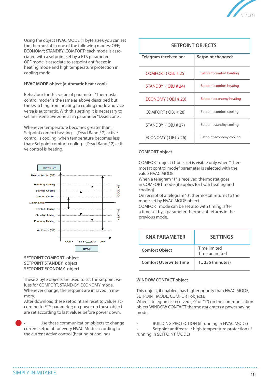

Using the object HVAC MODE (1 byte size), you can set the thermostat in one of the following modes: OFF; ECONOMY; STANDBY; COMFORT; each mode is associated with a setpoint set by a ETS parameter. OFF mode is associate to setpoint antifreeze in heating mode and high temperature protection in cooling mode.

#### **HVAC MODE object (automatic heat / cool)**

Behaviour for this value of parameter "Thermostat control mode" is the same as above described but the switching from heating to cooling mode and vice versa is automatic. With this setting it is necessary to set an insensitive zone as in parameter "Dead zone".

Whenever temperature becomes greater than : Setpoint comfort heating + (Dead Band / 2) active control is cooling; when temperature becomes less than: Setpoint comfort cooling - (Dead Band / 2) active control is heating. **COMFORT object**



#### **SETPOINT COMFORT object SETPOINT STANDBY object SETPOINT ECONOMY object**

These 2 byte objects are used to set the setpoint values for COMFORT, STAND-BY, ECONOMY mode. Whenever change, the setpoint are in saved in memory.

After download these setpoint are reset to values according to ETS parameter; on power up these object are set according to last values before power down.

Use these communication objects to change current setpoint for every HVAC Mode according to the current active control (heating or cooling)

| <b>SETPOINT OBJECTS</b> |                          |  |
|-------------------------|--------------------------|--|
| Telegram received on:   | Setpoint changed:        |  |
| COMFORT (OBJ #25)       | Setpoint comfort heating |  |
| STANDBY (OBJ#24)        | Setpoint comfort heating |  |
| ECONOMY (OBJ # 23)      | Setpoint economy heating |  |
| COMFORT (OBJ # 28)      | Setpoint comfort cooling |  |
| STANDBY (OBJ #27)       | Setpoint standby cooling |  |
| ECONOMY (OBJ # 26)      | Setpoint economy cooling |  |

COMFORT object (1 bit size) is visible only when "Thermostat control mode" parameter is selected with the value HVAC MODE.

When a telegram "1" is received thermostat goes in COMFORT mode (it applies for both heating and cooling)

On receipt of a telegram "0", thermostat returns to the mode set by HVAC MODE object.

COMFORT mode can be set also with timing: after a time set by a parameter thermostat returns in the previous mode.

| <b>KNX PARAMETER</b>          | <b>SETTINGS</b>                |
|-------------------------------|--------------------------------|
| <b>Comfort Object</b>         | Time limited<br>Time unlimited |
| <b>Comfort Overwrite Time</b> | 1255 (minutes)                 |

#### **WINDOW CONTACT object**

This object, if enabled, has higher priority than HVAC MODE, SETPOINT MODE, COMFORT objects.

When a telegram is received ("0" or "1") on the communication object WINDOW CONTACT thermostat enters a power saving mode:

• BUILDING PROTECTION (if running in HVAC MODE)

Setpoint antifreeze / high temperature protection (if running in SETPOINT MODE)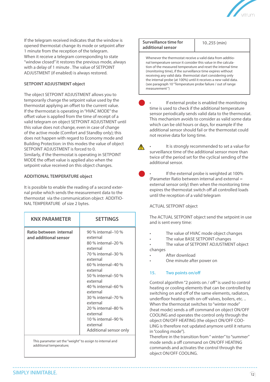

If the telegram received indicates that the window is opened thermostat change its mode or setpoint after 1 minute from the reception of the telegram. When it receive a telegram corresponding to state "window closed" it restores the previous mode, always with a delay of 1 minute . The value of SETPOINT ADJUSTMENT (if enabled) is always restored.

#### **SETPOINT ADJUSTMENT object**

The object SETPOINT ADJUSTMENT allows you to temporarily change the setpoint value used by the thermostat applying an offset to the current value. If the thermostat is operating in "HVAC MODE" the offset value is applied from the time of receipt of a valid telegram on object SETPOINT ADJUSTMENT until this value does not change, even in case of change of the active mode (Comfort and Standby only); this does not happen with regard to Economy mode and Building Protection: in this modes the value of object SETPOINT ADJUSTMENT is forced to 0. Similarly, if the thermostat is operating in SETPOINT MODE the offset value is applied also when the setpoint value received on this object changes.

#### **ADDITIONAL TEMPERATURE object**

It is possible to enable the reading of a second external probe which sends the measurement data to the thermostat via the communication object ADDITIO-NAL TEMPERATURE of size 2 bytes.

| Ratio between internal<br>90 % internal-10 %<br>and additional sensor<br>external<br>80 % internal-20 %<br>external<br>70 % internal-30 %<br>external<br>60 % internal-40 %<br>external<br>50 % internal-50 %<br>external<br>40 % internal-60 %<br>external<br>30 % internal-70 %<br>external<br>20 % internal-80 %<br>external<br>10 % internal-90 %<br>external<br>Additional sensor only | <b>KNX PARAMETER</b> | <b>SETTINGS</b> |
|---------------------------------------------------------------------------------------------------------------------------------------------------------------------------------------------------------------------------------------------------------------------------------------------------------------------------------------------------------------------------------------------|----------------------|-----------------|
|                                                                                                                                                                                                                                                                                                                                                                                             |                      |                 |

This parameter set the "weight" to assign to internal and additional temperature;

#### **Surveillance time for additional sensor**  10..255 (min)

Whenever the thermostat receive a valid data from additional temperature sensor it consider this value in the calculation of the measured temperature and reset the internal time (monitoring time), if the surveillance time expires without receiving any valid data thermostat start considering only the internal probe (at 100%) until it receives a new valid data. (see paragraph 10 "Temperature probe failure / out of range measurement ")

If external probe is enabled the monitoring time is used to check if the additional temperature sensor periodically sends valid data to the thermostat. This mechanism avoids to consider as valid some data which can be old hours or days, for example if the additional sensor should fail or the thermostat could not receive data for long time.

It is strongly recommended to set a value for surveillance time of the additional sensor more than twice of the period set for the cyclical sending of the additional sensor.

If the external probe is weighted at 100% (Parameter Ratio between internal and external = external sensor only) then when the monitoring time expires the thermostat switch off all controlled loads until the reception of a valid telegram

#### ACTUAL SETPOINT object

The ACTUAL SETPOINT object send the setpoint in use and is sent every time:

- The value of HVAC mode object changes
- The value BASE SETPOINT changes

The value of SETPOINT ADJUSTMENT object changes

- After download
- One minute after power on

#### **15. Two points on/off**

Control algorithm "2 points on / off " is used to control heating or cooling elements that can be controlled by switching on and off of the same elements, radiators, underfloor heating with on-off valves, boilers, etc. .. When the thermostat switches to "winter mode" (heat mode) sends a off command on object ON/OFF COOLING and operates the control only through the object ON/OFF HEATING (the object ON/OFF COO-LING is therefore not updated anymore until it returns in "cooling mode").

Therefore in the transition from " winter" to "summer" mode sends a off command on ON/OFF HEATING commands and activates the control through the object ON/OFF COOLING.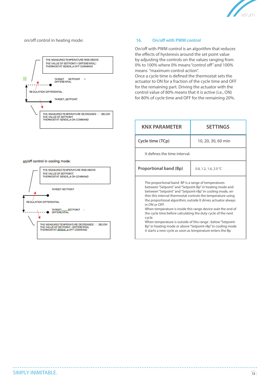

#### on/off control in heating mode:



#### **16. On/off with PWM control**

On/off with PWM control is an algorithm that reduces the effects of hysteresis around the set point value by adjusting the controls on the values ranging from 0% to 100% where 0% means "control off " and 100% means "maximum control action". Once a cycle time is defined the thermostat sets the actuator to ON for a fraction of the cycle time and OFF for the remaining part. Driving the actuator with the control value of 80% means that it is active (i.e., ON) for 80% of cycle time and OFF for the remaining 20%.

| <b>KNX PARAMETER</b>                                                                                                                                                                                                                                                                                                                                                                                                                                                                                                                                                                                                                                                 | <b>SETTINGS</b>       |  |
|----------------------------------------------------------------------------------------------------------------------------------------------------------------------------------------------------------------------------------------------------------------------------------------------------------------------------------------------------------------------------------------------------------------------------------------------------------------------------------------------------------------------------------------------------------------------------------------------------------------------------------------------------------------------|-----------------------|--|
| Cycle time (TCp)                                                                                                                                                                                                                                                                                                                                                                                                                                                                                                                                                                                                                                                     | 10, 20, 30, 60 min    |  |
| It defines the time interval.                                                                                                                                                                                                                                                                                                                                                                                                                                                                                                                                                                                                                                        |                       |  |
| <b>Proportional band (Bp)</b>                                                                                                                                                                                                                                                                                                                                                                                                                                                                                                                                                                                                                                        | 0.8, 1.2, 1.6, 2.0 °C |  |
| The proportional band BP is a range of temperatures<br>between "Setpoint" and "Setpoint-Bp" in heating mode and<br>between "Setpoint" and "Setpoint+Bp" in cooling mode, wi-<br>thin this interval thermostat controls the temperature using<br>the proportional algorithm; outside It drives actuator always<br>in ON or OFF.<br>When temperature is inside this range device wait the end of<br>the cycle time before calculating the duty cycle of the next<br>cycle.<br>When temperature is outside of this range : below "Setpoint-<br>Bp" in heating mode or above "Setpoint+Bp" in cooling mode<br>it starts a new cycle as soon as temperature enters the Bp |                       |  |

on/off control in cooling mode:

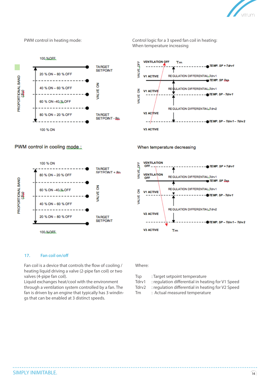

100.%QFE **TARGET SETPOINT** 20 % ON - 80 % OFF PROPORTIONAL BAND<br>(Ba) 중 40 % ON 60 % OFF **VALVE** 60 % ON-40 % OFF 80 % ON - 20 % OFF **TARGET** SETPOINT - Bp. 100 % ON

PWM control in cooling mode.:



PWM control in heating mode: Control logic for a 3 speed fan coil in heating: When temperature increasing



When temperature decreasing



#### **17. Fan coil on/off**

Fan coil is a device that controls the flow of cooling / heating liquid driving a valve (2-pipe fan coil) or two valves (4-pipe fan coil).

Liquid exchanges heat/cool with the environment through a ventilation system controlled by a fan. The fan is driven by an engine that typically has 3 windings that can be enabled at 3 distinct speeds.

Where:

- Tsp : Target setpoint temperature
- Tdrv1 : regulation differential in heating for V1 Speed
- Tdrv2 : regulation differential in heating for V2 Speed
- Tm : Actual measured temperature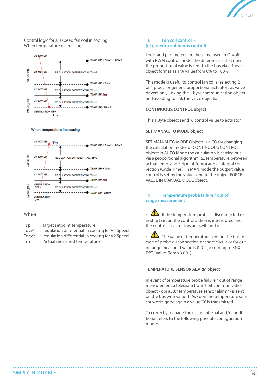

Control logic for a 3 speed fan coil in cooling: When temperature decreasing



When temperature increasing



#### Where:

- Tsp : Target setpoint temperature
- Tdcv1 : regulation differential in cooling for V1 Speed
- Tdcv2 : regulation differential in cooling for V2 Speed
- Tm : Actual measured temperature

#### **18. Fan coil control % (or generic continuous control)**

Logic and parameters are the same used in On/off with PWM control mode; the difference is that now the proportional value is sent to the bus via a 1 byte object format as a % value from 0% to 100%.

This mode is useful to control fan coils (selecting 2 or 4 pipes) or generic proportional actuators as valve drivers only linking the 1 byte communication object and avoiding to link the valve objects.

#### **CONTINUOUS CONTROL object**

This 1 Byte object send % control value to actuator.

#### **SET MAN/AUTO MODE object**

SET MAN/AUTO MODE Objects is a CO for changing the calculation mode for CONTINUOUS CONTROL object; in AUTO Mode the calculation is carried out via a proportional algorithm (Δ temperature between actual temp. and Setpoint Temp) and a integral correction (Cycle Time ); in MAN mode the output value control is set by the value send to the object FORCE VALUE IN MANUAL MODE object.

#### **19. Temperature probe failure / out of range measurement**

If the temperature probe is disconnected or in short circuit the control action is interrupted and the controlled actuators are switched off.

The value of temperature sent on the bus in case of probe disconnection or short circuit or for out of range measured value is 0 °C (according to KNX DPT\_Value\_Temp 9.001)

#### **TEMPERATURE SENSOR ALARM object**

In event of temperature probe failure / out of range measurement a telegram from 1 bit communication object - obj #33: "Temperature sensor alarm" - is sent on the bus with value 1. As soon the temperature sensor works good again a value "0" is transmitted.

To correctly manage the use of internal and/or additional refers to the following possible configuration modes: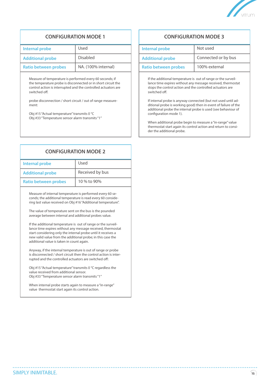

| Internal probe              | Used                | Internal probe              |
|-----------------------------|---------------------|-----------------------------|
| <b>Additional probe</b>     | <b>Disabled</b>     | <b>Additional probe</b>     |
| <b>Ratio between probes</b> | NA. (100% internal) | <b>Ratio between probes</b> |

Measure of temperature is performed every 60 seconds; if the temperature probe is disconnected or in short circuit the control action is interrupted and the controlled actuators are switched off.

probe disconnection / short circuit / out of range measurement:

Obj #15 "Actual temperature" transmits 0 °C Obj #33 "Temperature sensor alarm transmits "1"

# **CONFIGURATION MODE 2**

| <b>Internal probe</b>       | Used            |
|-----------------------------|-----------------|
| <b>Additional probe</b>     | Received by bus |
| <b>Ratio between probes</b> | 10 % to 90%     |

Measure of internal temperature is performed every 60 seconds; the additional temperature is read every 60 considering last value received on Obj #16 "Additional temperature".

The value of temperature sent on the bus is the pounded average between internal and additional probes value.

If the additional temperature is out of range or the surveillance time expires without any message received, thermostat start considering only the internal probe until it receives a new valid value from the additional probe; in this case the additional value is taken in count again.

Anyway, if the internal temperature is out of range or probe is disconnected / short circuit then the control action is interrupted and the controlled actuators are switched off:

Obj #15 "Actual temperature" transmits 0 °C regardless the value received from additional sensor. Obj #33 "Temperature sensor alarm transmits "1"

When internal probe starts again to measure a "in-range" value thermostat start again its control action.

### **CONFIGURATION MODE 1 CONFIGURATION MODE 3**

| Used                | Internal probe              | Not used            |
|---------------------|-----------------------------|---------------------|
| <b>Disabled</b>     | <b>Additional probe</b>     | Connected or by bus |
| NA. (100% internal) | <b>Ratio between probes</b> | 100% external       |

If the additional temperature is out of range or the surveillance time expires without any message received, thermostat stops the control action and the controlled actuators are switched off.

If internal probe is anyway connected (but not used until additional probe is working good) then in event of failure of the additional probe the internal probe is used (see behaviour of configuration mode 1).

When additional probe begin to measure a "in-range" value thermostat start again its control action and return to consider the additional probe.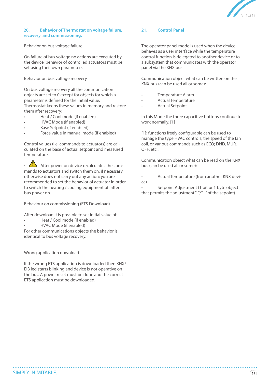

#### **20. Behavior of Thermostat on voltage failure, recovery and commissioning.**

Behavior on bus voltage failure

On failure of bus voltage no actions are executed by the device; behavior of controlled actuators must be set using their own parameters.

Behavior on bus voltage recovery

On bus voltage recovery all the communication objects are set to 0 except for objects for which a parameter is defined for the initial value.

Thermostat keeps these values in memory and restore them after recovery:

- Heat / Cool mode (if enabled)
- HVAC Mode (if enabled)
- Base Setpoint (if enabled)
- Force value in manual mode (if enabled)

Control values (i.e. commands to actuators) are calculated on the base of actual setpoint and measured temperature.

• After power on device recalculates the commands to actuators and switch them on, if necessary, otherwise does not carry out any action; you are recommended to set the behavior of actuator in order to switch the heating / cooling equipment off after bus power on.

Behaviour on commissioning (ETS Download)

After download it is possible to set initial value of:

- Heat / Cool mode (if enabled)
- HVAC Mode (if enabled)

For other communications objects the behavior is identical to bus voltage recovery.

Wrong application download

If the wrong ETS application is downloaded then KNX/ EIB led starts blinking and device is not operative on the bus. A power reset must be done and the correct ETS application must be downloaded.

#### **21. Control Panel**

The operator panel mode is used when the device behaves as a user interface while the temperature control function is delegated to another device or to a subsystem that communicates with the operator panel via the KNX bus

Communication object what can be written on the KNX bus (can be used all or some):

- Temperature Alarm
- Actual Temperature
- Actual Setpoint

In this Mode the three capacitive buttons continue to work normally. [1]

[1]: functions freely configurable can be used to manage the type HVAC controls, the speed of the fan coil, or various commands such as ECO; DND, MUR, OFF; etc ..

Communication object what can be read on the KNX bus (can be used all or some):

• Actual Temperature (from another KNX device)

Setpoint Adjustment (1 bit or 1 byte object that permits the adjustment "-"/"+" of the sepoint)